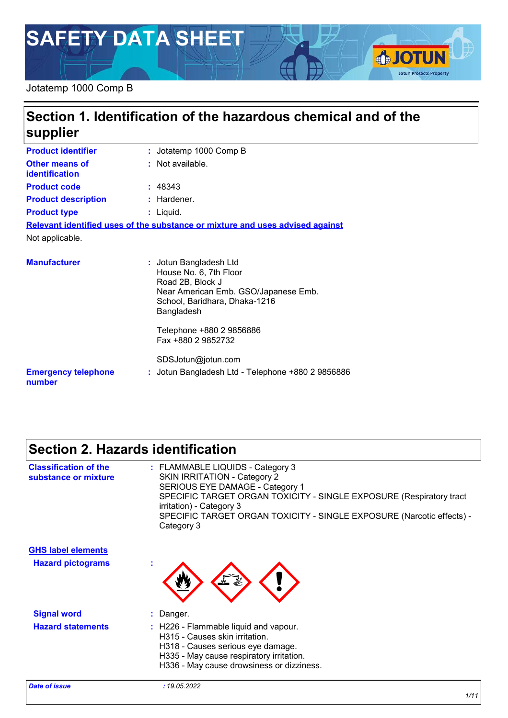# **SAFETY DATA SHEET**

### Jotatemp 1000 Comp B

# **Section 1. Identification of the hazardous chemical and of the supplier**

| <b>Product identifier</b>               | : Jotatemp 1000 Comp B                                                                                                                                      |
|-----------------------------------------|-------------------------------------------------------------------------------------------------------------------------------------------------------------|
| Other means of<br><b>identification</b> | : Not available.                                                                                                                                            |
| <b>Product code</b>                     | : 48343                                                                                                                                                     |
| <b>Product description</b>              | : Hardener.                                                                                                                                                 |
| <b>Product type</b>                     | $:$ Liquid.                                                                                                                                                 |
|                                         | Relevant identified uses of the substance or mixture and uses advised against                                                                               |
| Not applicable.                         |                                                                                                                                                             |
| <b>Manufacturer</b>                     | : Jotun Bangladesh Ltd<br>House No. 6, 7th Floor<br>Road 2B, Block J<br>Near American Emb. GSO/Japanese Emb.<br>School, Baridhara, Dhaka-1216<br>Bangladesh |
|                                         | Telephone +880  2  9856886                                                                                                                                  |

Fax +880 2 9852732

**:** Jotun Bangladesh Ltd - Telephone +880 2 9856886 SDSJotun@jotun.com

**Emergency telephone number**

# **Section 2. Hazards identification**

| <b>Classification of the</b><br>substance or mixture | : FLAMMABLE LIQUIDS - Category 3<br><b>SKIN IRRITATION - Category 2</b><br>SERIOUS EYE DAMAGE - Category 1<br>SPECIFIC TARGET ORGAN TOXICITY - SINGLE EXPOSURE (Respiratory tract<br>irritation) - Category 3<br>SPECIFIC TARGET ORGAN TOXICITY - SINGLE EXPOSURE (Narcotic effects) -<br>Category 3 |
|------------------------------------------------------|------------------------------------------------------------------------------------------------------------------------------------------------------------------------------------------------------------------------------------------------------------------------------------------------------|
| <b>GHS label elements</b>                            |                                                                                                                                                                                                                                                                                                      |
| <b>Hazard pictograms</b>                             |                                                                                                                                                                                                                                                                                                      |
| <b>Signal word</b>                                   | : Danger.                                                                                                                                                                                                                                                                                            |
| <b>Hazard statements</b>                             | : H226 - Flammable liquid and vapour.<br>H315 - Causes skin irritation.<br>H318 - Causes serious eye damage.<br>H335 - May cause respiratory irritation.<br>H336 - May cause drowsiness or dizziness.                                                                                                |

**SJOTUN** 

**Jotun Protects Property**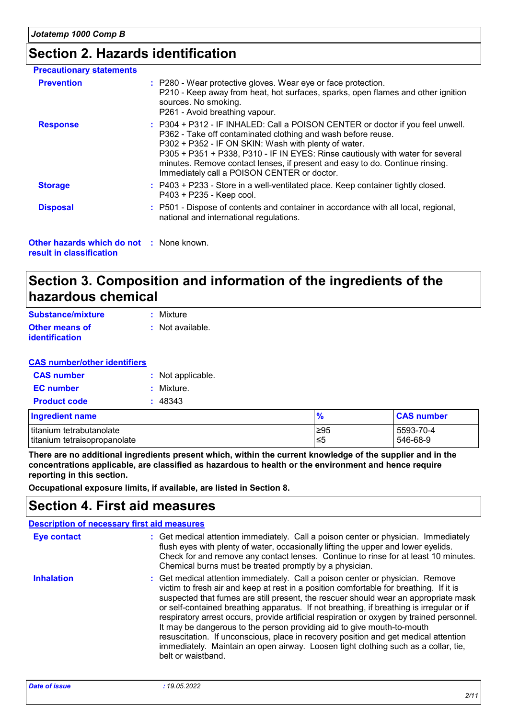# **Section 2. Hazards identification**

| <b>Precautionary statements</b>          |                                                                                                                                                                                                                                                                                                                                                                                                                         |
|------------------------------------------|-------------------------------------------------------------------------------------------------------------------------------------------------------------------------------------------------------------------------------------------------------------------------------------------------------------------------------------------------------------------------------------------------------------------------|
| <b>Prevention</b>                        | : P280 - Wear protective gloves. Wear eye or face protection.<br>P210 - Keep away from heat, hot surfaces, sparks, open flames and other ignition<br>sources. No smoking.<br>P261 - Avoid breathing vapour.                                                                                                                                                                                                             |
| <b>Response</b>                          | : P304 + P312 - IF INHALED: Call a POISON CENTER or doctor if you feel unwell.<br>P362 - Take off contaminated clothing and wash before reuse.<br>P302 + P352 - IF ON SKIN: Wash with plenty of water.<br>P305 + P351 + P338, P310 - IF IN EYES: Rinse cautiously with water for several<br>minutes. Remove contact lenses, if present and easy to do. Continue rinsing.<br>Immediately call a POISON CENTER or doctor. |
| <b>Storage</b>                           | : P403 + P233 - Store in a well-ventilated place. Keep container tightly closed.<br>P403 + P235 - Keep cool.                                                                                                                                                                                                                                                                                                            |
| <b>Disposal</b>                          | : P501 - Dispose of contents and container in accordance with all local, regional,<br>national and international regulations.                                                                                                                                                                                                                                                                                           |
| Other hazards which do not : None known. |                                                                                                                                                                                                                                                                                                                                                                                                                         |

**result in classification**

# **Section 3. Composition and information of the ingredients of the hazardous chemical**

| Substance/mixture     | : Mixture        |
|-----------------------|------------------|
| <b>Other means of</b> | : Not available. |
| <i>identification</i> |                  |

#### **CAS number/other identifiers**

| <b>CAS number</b>   | : Not applicable. |  |
|---------------------|-------------------|--|
| <b>EC</b> number    | : Mixture.        |  |
| <b>Product code</b> | : 48343           |  |

| Ingredient name              | $\frac{1}{2}$ | <b>CAS number</b> |
|------------------------------|---------------|-------------------|
| titanium tetrabutanolate     | ∣≥95          | 5593-70-4         |
| titanium tetraisopropanolate | ≤5            | 546-68-9          |

**There are no additional ingredients present which, within the current knowledge of the supplier and in the concentrations applicable, are classified as hazardous to health or the environment and hence require reporting in this section.**

**Occupational exposure limits, if available, are listed in Section 8.**

### **Section 4. First aid measures**

| <b>Description of necessary first aid measures</b> |                                                                                                                                                                                                                                                                                                                                                                                                                                                                                                                                                                                                                                                                                                                                       |
|----------------------------------------------------|---------------------------------------------------------------------------------------------------------------------------------------------------------------------------------------------------------------------------------------------------------------------------------------------------------------------------------------------------------------------------------------------------------------------------------------------------------------------------------------------------------------------------------------------------------------------------------------------------------------------------------------------------------------------------------------------------------------------------------------|
| <b>Eye contact</b>                                 | : Get medical attention immediately. Call a poison center or physician. Immediately<br>flush eyes with plenty of water, occasionally lifting the upper and lower eyelids.<br>Check for and remove any contact lenses. Continue to rinse for at least 10 minutes.<br>Chemical burns must be treated promptly by a physician.                                                                                                                                                                                                                                                                                                                                                                                                           |
| <b>Inhalation</b>                                  | : Get medical attention immediately. Call a poison center or physician. Remove<br>victim to fresh air and keep at rest in a position comfortable for breathing. If it is<br>suspected that fumes are still present, the rescuer should wear an appropriate mask<br>or self-contained breathing apparatus. If not breathing, if breathing is irregular or if<br>respiratory arrest occurs, provide artificial respiration or oxygen by trained personnel.<br>It may be dangerous to the person providing aid to give mouth-to-mouth<br>resuscitation. If unconscious, place in recovery position and get medical attention<br>immediately. Maintain an open airway. Loosen tight clothing such as a collar, tie,<br>belt or waistband. |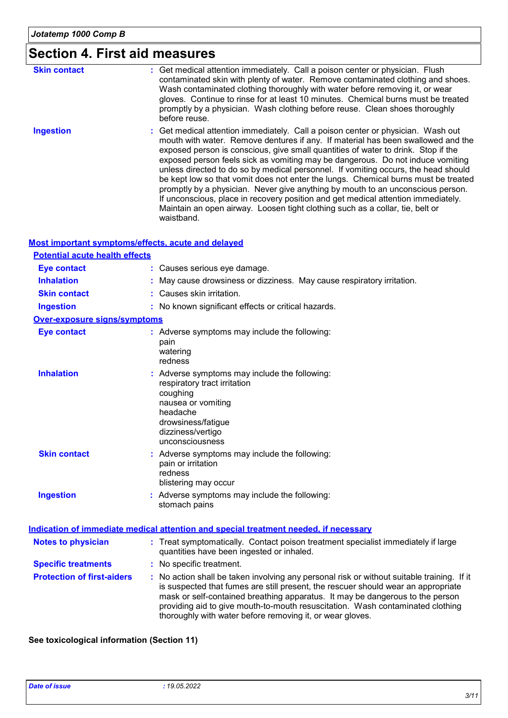# **Section 4. First aid measures**

| <b>Skin contact</b> | : Get medical attention immediately. Call a poison center or physician. Flush<br>contaminated skin with plenty of water. Remove contaminated clothing and shoes.<br>Wash contaminated clothing thoroughly with water before removing it, or wear<br>gloves. Continue to rinse for at least 10 minutes. Chemical burns must be treated<br>promptly by a physician. Wash clothing before reuse. Clean shoes thoroughly<br>before reuse.                                                                                                                                                                                                                                                                                                                                                          |
|---------------------|------------------------------------------------------------------------------------------------------------------------------------------------------------------------------------------------------------------------------------------------------------------------------------------------------------------------------------------------------------------------------------------------------------------------------------------------------------------------------------------------------------------------------------------------------------------------------------------------------------------------------------------------------------------------------------------------------------------------------------------------------------------------------------------------|
| <b>Ingestion</b>    | : Get medical attention immediately. Call a poison center or physician. Wash out<br>mouth with water. Remove dentures if any. If material has been swallowed and the<br>exposed person is conscious, give small quantities of water to drink. Stop if the<br>exposed person feels sick as vomiting may be dangerous. Do not induce vomiting<br>unless directed to do so by medical personnel. If vomiting occurs, the head should<br>be kept low so that vomit does not enter the lungs. Chemical burns must be treated<br>promptly by a physician. Never give anything by mouth to an unconscious person.<br>If unconscious, place in recovery position and get medical attention immediately.<br>Maintain an open airway. Loosen tight clothing such as a collar, tie, belt or<br>waistband. |

| <b>Most important symptoms/effects, acute and delayed</b> |                                                                                                                                                                                                                                                                                                                                                                                                                 |
|-----------------------------------------------------------|-----------------------------------------------------------------------------------------------------------------------------------------------------------------------------------------------------------------------------------------------------------------------------------------------------------------------------------------------------------------------------------------------------------------|
| <b>Potential acute health effects</b>                     |                                                                                                                                                                                                                                                                                                                                                                                                                 |
| <b>Eye contact</b>                                        | : Causes serious eye damage.                                                                                                                                                                                                                                                                                                                                                                                    |
| <b>Inhalation</b>                                         | May cause drowsiness or dizziness. May cause respiratory irritation.                                                                                                                                                                                                                                                                                                                                            |
| <b>Skin contact</b>                                       | : Causes skin irritation.                                                                                                                                                                                                                                                                                                                                                                                       |
| <b>Ingestion</b>                                          | : No known significant effects or critical hazards.                                                                                                                                                                                                                                                                                                                                                             |
| <b>Over-exposure signs/symptoms</b>                       |                                                                                                                                                                                                                                                                                                                                                                                                                 |
| <b>Eye contact</b>                                        | : Adverse symptoms may include the following:<br>pain<br>watering<br>redness                                                                                                                                                                                                                                                                                                                                    |
| <b>Inhalation</b>                                         | : Adverse symptoms may include the following:<br>respiratory tract irritation<br>coughing<br>nausea or vomiting<br>headache<br>drowsiness/fatigue<br>dizziness/vertigo<br>unconsciousness                                                                                                                                                                                                                       |
| <b>Skin contact</b>                                       | : Adverse symptoms may include the following:<br>pain or irritation<br>redness<br>blistering may occur                                                                                                                                                                                                                                                                                                          |
| <b>Ingestion</b>                                          | : Adverse symptoms may include the following:<br>stomach pains                                                                                                                                                                                                                                                                                                                                                  |
|                                                           | Indication of immediate medical attention and special treatment needed, if necessary                                                                                                                                                                                                                                                                                                                            |
| <b>Notes to physician</b>                                 | : Treat symptomatically. Contact poison treatment specialist immediately if large<br>quantities have been ingested or inhaled.                                                                                                                                                                                                                                                                                  |
| <b>Specific treatments</b>                                | : No specific treatment.                                                                                                                                                                                                                                                                                                                                                                                        |
| <b>Protection of first-aiders</b>                         | : No action shall be taken involving any personal risk or without suitable training. If it<br>is suspected that fumes are still present, the rescuer should wear an appropriate<br>mask or self-contained breathing apparatus. It may be dangerous to the person<br>providing aid to give mouth-to-mouth resuscitation. Wash contaminated clothing<br>thoroughly with water before removing it, or wear gloves. |

#### **See toxicological information (Section 11)**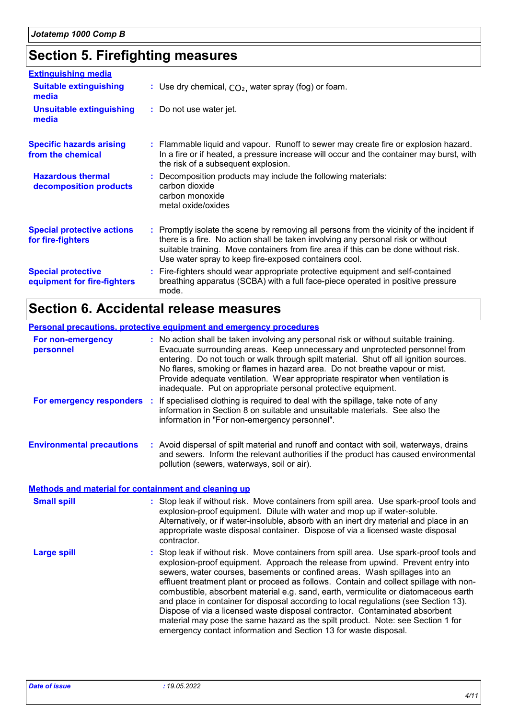# **Section 5. Firefighting measures**

| <b>Extinguishing media</b>                               |                                                                                                                                                                                                                                                                                                                               |
|----------------------------------------------------------|-------------------------------------------------------------------------------------------------------------------------------------------------------------------------------------------------------------------------------------------------------------------------------------------------------------------------------|
| <b>Suitable extinguishing</b><br>media                   | : Use dry chemical, $CO2$ , water spray (fog) or foam.                                                                                                                                                                                                                                                                        |
| <b>Unsuitable extinguishing</b><br>media                 | : Do not use water jet.                                                                                                                                                                                                                                                                                                       |
| <b>Specific hazards arising</b><br>from the chemical     | : Flammable liquid and vapour. Runoff to sewer may create fire or explosion hazard.<br>In a fire or if heated, a pressure increase will occur and the container may burst, with<br>the risk of a subsequent explosion.                                                                                                        |
| <b>Hazardous thermal</b><br>decomposition products       | : Decomposition products may include the following materials:<br>carbon dioxide<br>carbon monoxide<br>metal oxide/oxides                                                                                                                                                                                                      |
| <b>Special protective actions</b><br>for fire-fighters   | : Promptly isolate the scene by removing all persons from the vicinity of the incident if<br>there is a fire. No action shall be taken involving any personal risk or without<br>suitable training. Move containers from fire area if this can be done without risk.<br>Use water spray to keep fire-exposed containers cool. |
| <b>Special protective</b><br>equipment for fire-fighters | : Fire-fighters should wear appropriate protective equipment and self-contained<br>breathing apparatus (SCBA) with a full face-piece operated in positive pressure<br>mode.                                                                                                                                                   |

# **Section 6. Accidental release measures**

|                                                             | <b>Personal precautions, protective equipment and emergency procedures</b>                                                                                                                                                                                                                                                                                                                                                                                                                                                                                                                                                                                                                                                                                              |
|-------------------------------------------------------------|-------------------------------------------------------------------------------------------------------------------------------------------------------------------------------------------------------------------------------------------------------------------------------------------------------------------------------------------------------------------------------------------------------------------------------------------------------------------------------------------------------------------------------------------------------------------------------------------------------------------------------------------------------------------------------------------------------------------------------------------------------------------------|
| For non-emergency<br>personnel                              | : No action shall be taken involving any personal risk or without suitable training.<br>Evacuate surrounding areas. Keep unnecessary and unprotected personnel from<br>entering. Do not touch or walk through spilt material. Shut off all ignition sources.<br>No flares, smoking or flames in hazard area. Do not breathe vapour or mist.<br>Provide adequate ventilation. Wear appropriate respirator when ventilation is<br>inadequate. Put on appropriate personal protective equipment.                                                                                                                                                                                                                                                                           |
| For emergency responders :                                  | If specialised clothing is required to deal with the spillage, take note of any<br>information in Section 8 on suitable and unsuitable materials. See also the<br>information in "For non-emergency personnel".                                                                                                                                                                                                                                                                                                                                                                                                                                                                                                                                                         |
| <b>Environmental precautions</b>                            | : Avoid dispersal of spilt material and runoff and contact with soil, waterways, drains<br>and sewers. Inform the relevant authorities if the product has caused environmental<br>pollution (sewers, waterways, soil or air).                                                                                                                                                                                                                                                                                                                                                                                                                                                                                                                                           |
| <b>Methods and material for containment and cleaning up</b> |                                                                                                                                                                                                                                                                                                                                                                                                                                                                                                                                                                                                                                                                                                                                                                         |
| <b>Small spill</b>                                          | : Stop leak if without risk. Move containers from spill area. Use spark-proof tools and<br>explosion-proof equipment. Dilute with water and mop up if water-soluble.<br>Alternatively, or if water-insoluble, absorb with an inert dry material and place in an<br>appropriate waste disposal container. Dispose of via a licensed waste disposal<br>contractor.                                                                                                                                                                                                                                                                                                                                                                                                        |
| <b>Large spill</b>                                          | : Stop leak if without risk. Move containers from spill area. Use spark-proof tools and<br>explosion-proof equipment. Approach the release from upwind. Prevent entry into<br>sewers, water courses, basements or confined areas. Wash spillages into an<br>effluent treatment plant or proceed as follows. Contain and collect spillage with non-<br>combustible, absorbent material e.g. sand, earth, vermiculite or diatomaceous earth<br>and place in container for disposal according to local regulations (see Section 13).<br>Dispose of via a licensed waste disposal contractor. Contaminated absorbent<br>material may pose the same hazard as the spilt product. Note: see Section 1 for<br>emergency contact information and Section 13 for waste disposal. |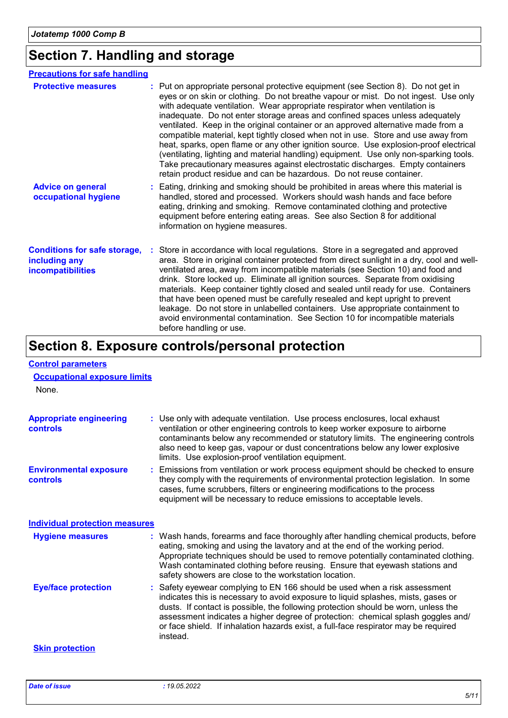# **Section 7. Handling and storage**

| <b>Precautions for safe handling</b>                                      |                                                                                                                                                                                                                                                                                                                                                                                                                                                                                                                                                                                                                                                                                                                                                                                                                                                              |
|---------------------------------------------------------------------------|--------------------------------------------------------------------------------------------------------------------------------------------------------------------------------------------------------------------------------------------------------------------------------------------------------------------------------------------------------------------------------------------------------------------------------------------------------------------------------------------------------------------------------------------------------------------------------------------------------------------------------------------------------------------------------------------------------------------------------------------------------------------------------------------------------------------------------------------------------------|
| <b>Protective measures</b>                                                | : Put on appropriate personal protective equipment (see Section 8). Do not get in<br>eyes or on skin or clothing. Do not breathe vapour or mist. Do not ingest. Use only<br>with adequate ventilation. Wear appropriate respirator when ventilation is<br>inadequate. Do not enter storage areas and confined spaces unless adequately<br>ventilated. Keep in the original container or an approved alternative made from a<br>compatible material, kept tightly closed when not in use. Store and use away from<br>heat, sparks, open flame or any other ignition source. Use explosion-proof electrical<br>(ventilating, lighting and material handling) equipment. Use only non-sparking tools.<br>Take precautionary measures against electrostatic discharges. Empty containers<br>retain product residue and can be hazardous. Do not reuse container. |
| <b>Advice on general</b><br>occupational hygiene                          | : Eating, drinking and smoking should be prohibited in areas where this material is<br>handled, stored and processed. Workers should wash hands and face before<br>eating, drinking and smoking. Remove contaminated clothing and protective<br>equipment before entering eating areas. See also Section 8 for additional<br>information on hygiene measures.                                                                                                                                                                                                                                                                                                                                                                                                                                                                                                |
| <b>Conditions for safe storage,</b><br>including any<br>incompatibilities | Store in accordance with local regulations. Store in a segregated and approved<br>area. Store in original container protected from direct sunlight in a dry, cool and well-<br>ventilated area, away from incompatible materials (see Section 10) and food and<br>drink. Store locked up. Eliminate all ignition sources. Separate from oxidising<br>materials. Keep container tightly closed and sealed until ready for use. Containers<br>that have been opened must be carefully resealed and kept upright to prevent<br>leakage. Do not store in unlabelled containers. Use appropriate containment to<br>avoid environmental contamination. See Section 10 for incompatible materials<br>before handling or use.                                                                                                                                        |

# **Section 8. Exposure controls/personal protection**

| <b>Control parameters</b><br><b>Occupational exposure limits</b><br>None. |                                                                                                                                                                                                                                                                                                                                                                                                                                              |
|---------------------------------------------------------------------------|----------------------------------------------------------------------------------------------------------------------------------------------------------------------------------------------------------------------------------------------------------------------------------------------------------------------------------------------------------------------------------------------------------------------------------------------|
| <b>Appropriate engineering</b><br>controls                                | : Use only with adequate ventilation. Use process enclosures, local exhaust<br>ventilation or other engineering controls to keep worker exposure to airborne<br>contaminants below any recommended or statutory limits. The engineering controls<br>also need to keep gas, vapour or dust concentrations below any lower explosive<br>limits. Use explosion-proof ventilation equipment.                                                     |
| <b>Environmental exposure</b><br>controls                                 | : Emissions from ventilation or work process equipment should be checked to ensure<br>they comply with the requirements of environmental protection legislation. In some<br>cases, fume scrubbers, filters or engineering modifications to the process<br>equipment will be necessary to reduce emissions to acceptable levels.                                                                                                              |
| <b>Individual protection measures</b>                                     |                                                                                                                                                                                                                                                                                                                                                                                                                                              |
| <b>Hygiene measures</b>                                                   | : Wash hands, forearms and face thoroughly after handling chemical products, before<br>eating, smoking and using the lavatory and at the end of the working period.<br>Appropriate techniques should be used to remove potentially contaminated clothing.<br>Wash contaminated clothing before reusing. Ensure that eyewash stations and<br>safety showers are close to the workstation location.                                            |
| <b>Eye/face protection</b>                                                | : Safety eyewear complying to EN 166 should be used when a risk assessment<br>indicates this is necessary to avoid exposure to liquid splashes, mists, gases or<br>dusts. If contact is possible, the following protection should be worn, unless the<br>assessment indicates a higher degree of protection: chemical splash goggles and/<br>or face shield. If inhalation hazards exist, a full-face respirator may be required<br>instead. |
| <b>Skin protection</b>                                                    |                                                                                                                                                                                                                                                                                                                                                                                                                                              |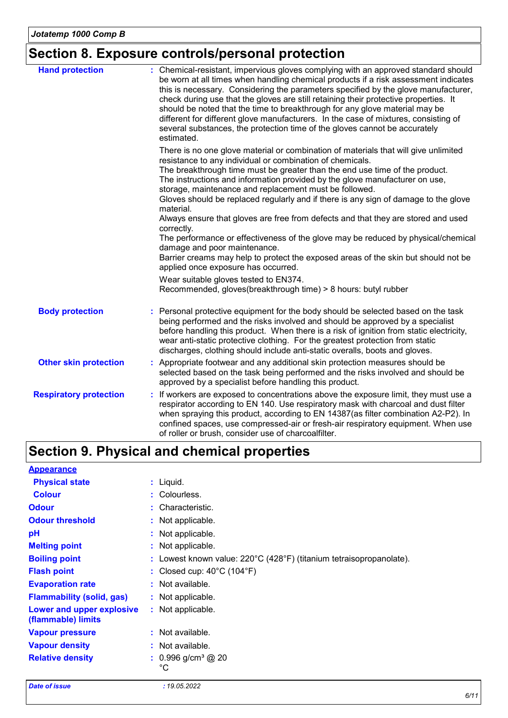# **Section 8. Exposure controls/personal protection**

| <b>Hand protection</b>        | : Chemical-resistant, impervious gloves complying with an approved standard should<br>be worn at all times when handling chemical products if a risk assessment indicates<br>this is necessary. Considering the parameters specified by the glove manufacturer,<br>check during use that the gloves are still retaining their protective properties. It<br>should be noted that the time to breakthrough for any glove material may be<br>different for different glove manufacturers. In the case of mixtures, consisting of<br>several substances, the protection time of the gloves cannot be accurately<br>estimated. |
|-------------------------------|---------------------------------------------------------------------------------------------------------------------------------------------------------------------------------------------------------------------------------------------------------------------------------------------------------------------------------------------------------------------------------------------------------------------------------------------------------------------------------------------------------------------------------------------------------------------------------------------------------------------------|
|                               | There is no one glove material or combination of materials that will give unlimited<br>resistance to any individual or combination of chemicals.<br>The breakthrough time must be greater than the end use time of the product.<br>The instructions and information provided by the glove manufacturer on use,<br>storage, maintenance and replacement must be followed.<br>Gloves should be replaced regularly and if there is any sign of damage to the glove<br>material.                                                                                                                                              |
|                               | Always ensure that gloves are free from defects and that they are stored and used<br>correctly.<br>The performance or effectiveness of the glove may be reduced by physical/chemical<br>damage and poor maintenance.<br>Barrier creams may help to protect the exposed areas of the skin but should not be<br>applied once exposure has occurred.                                                                                                                                                                                                                                                                         |
|                               | Wear suitable gloves tested to EN374.<br>Recommended, gloves(breakthrough time) > 8 hours: butyl rubber                                                                                                                                                                                                                                                                                                                                                                                                                                                                                                                   |
| <b>Body protection</b>        | Personal protective equipment for the body should be selected based on the task<br>being performed and the risks involved and should be approved by a specialist<br>before handling this product. When there is a risk of ignition from static electricity,<br>wear anti-static protective clothing. For the greatest protection from static<br>discharges, clothing should include anti-static overalls, boots and gloves.                                                                                                                                                                                               |
| <b>Other skin protection</b>  | : Appropriate footwear and any additional skin protection measures should be<br>selected based on the task being performed and the risks involved and should be<br>approved by a specialist before handling this product.                                                                                                                                                                                                                                                                                                                                                                                                 |
| <b>Respiratory protection</b> | : If workers are exposed to concentrations above the exposure limit, they must use a<br>respirator according to EN 140. Use respiratory mask with charcoal and dust filter<br>when spraying this product, according to EN 14387(as filter combination A2-P2). In<br>confined spaces, use compressed-air or fresh-air respiratory equipment. When use<br>of roller or brush, consider use of charcoalfilter.                                                                                                                                                                                                               |

# **Section 9. Physical and chemical properties**

| <b>Appearance</b>                               |                                                                               |
|-------------------------------------------------|-------------------------------------------------------------------------------|
| <b>Physical state</b>                           | $:$ Liquid.                                                                   |
| <b>Colour</b>                                   | : Colourless.                                                                 |
| <b>Odour</b>                                    | : Characteristic.                                                             |
| <b>Odour threshold</b>                          | : Not applicable.                                                             |
| рH                                              | : Not applicable.                                                             |
| <b>Melting point</b>                            | : Not applicable.                                                             |
| <b>Boiling point</b>                            | : Lowest known value: $220^{\circ}$ C (428°F) (titanium tetraisopropanolate). |
| <b>Flash point</b>                              | : Closed cup: $40^{\circ}$ C (104 $^{\circ}$ F)                               |
| <b>Evaporation rate</b>                         | : Not available.                                                              |
| <b>Flammability (solid, gas)</b>                | : Not applicable.                                                             |
| Lower and upper explosive<br>(flammable) limits | : Not applicable.                                                             |
| <b>Vapour pressure</b>                          | : Not available.                                                              |
| <b>Vapour density</b>                           | : Not available.                                                              |
| <b>Relative density</b>                         | $: 0.996$ g/cm <sup>3</sup> @ 20<br>°С                                        |

*Date of issue : 19.05.2022*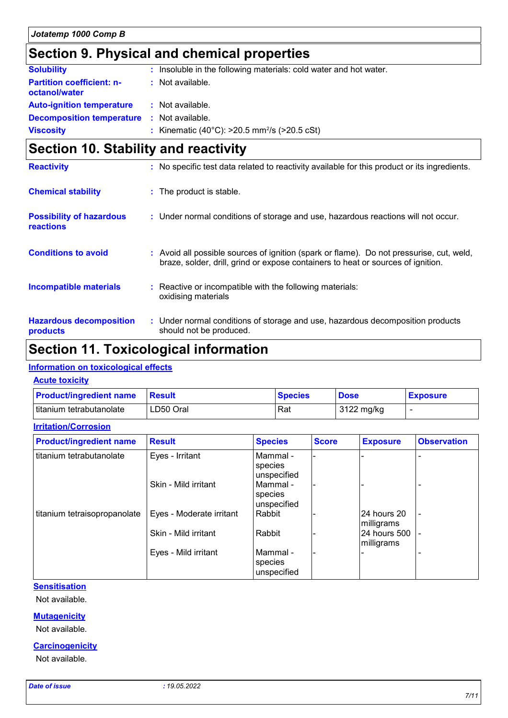# **Section 9. Physical and chemical properties**

| <b>Solubility</b>                                 | : Insoluble in the following materials: cold water and hot water. |
|---------------------------------------------------|-------------------------------------------------------------------|
| <b>Partition coefficient: n-</b><br>octanol/water | : Not available.                                                  |
| <b>Auto-ignition temperature</b>                  | : Not available.                                                  |
| <b>Decomposition temperature : Not available.</b> |                                                                   |
| <b>Viscosity</b>                                  | : Kinematic (40°C): $>20.5$ mm <sup>2</sup> /s ( $>20.5$ cSt)     |

# **Section 10. Stability and reactivity**

| <b>Reactivity</b>                            | : No specific test data related to reactivity available for this product or its ingredients.                                                                                 |
|----------------------------------------------|------------------------------------------------------------------------------------------------------------------------------------------------------------------------------|
| <b>Chemical stability</b>                    | : The product is stable.                                                                                                                                                     |
| <b>Possibility of hazardous</b><br>reactions | : Under normal conditions of storage and use, hazardous reactions will not occur.                                                                                            |
| <b>Conditions to avoid</b>                   | : Avoid all possible sources of ignition (spark or flame). Do not pressurise, cut, weld,<br>braze, solder, drill, grind or expose containers to heat or sources of ignition. |
| <b>Incompatible materials</b>                | : Reactive or incompatible with the following materials:<br>oxidising materials                                                                                              |
| <b>Hazardous decomposition</b><br>products   | : Under normal conditions of storage and use, hazardous decomposition products<br>should not be produced.                                                                    |

### **Section 11. Toxicological information**

#### **Information on toxicological effects**

#### **Acute toxicity**

**Irritation/Corrosion**

| <b>Product/ingredient name</b> | <b>Result</b> | <b>Species</b> | <b>Dose</b> | <b>Exposure</b> |
|--------------------------------|---------------|----------------|-------------|-----------------|
| titanium tetrabutanolate       | LD50 Oral     | Rat            | 3122 mg/kg  |                 |

| <b>Product/ingredient name</b> | <b>Result</b>            | <b>Species</b>                     | <b>Score</b> | <b>Exposure</b>            | <b>Observation</b> |
|--------------------------------|--------------------------|------------------------------------|--------------|----------------------------|--------------------|
| titanium tetrabutanolate       | Eyes - Irritant          | Mammal -<br>species<br>unspecified |              |                            |                    |
|                                | Skin - Mild irritant     | Mammal -<br>species<br>unspecified |              |                            |                    |
| titanium tetraisopropanolate   | Eyes - Moderate irritant | Rabbit                             |              | l24 hours 20<br>milligrams | $\blacksquare$     |
|                                | Skin - Mild irritant     | Rabbit                             |              | 24 hours 500<br>milligrams |                    |
|                                | Eyes - Mild irritant     | Mammal -<br>species<br>unspecified |              |                            |                    |

#### **Sensitisation**

Not available.

#### **Mutagenicity**

Not available.

#### **Carcinogenicity**

Not available.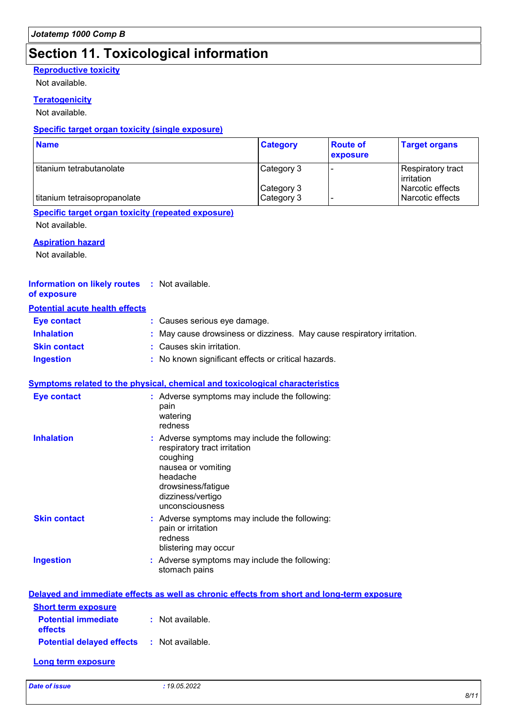# **Section 11. Toxicological information**

#### **Reproductive toxicity**

Not available.

#### **Teratogenicity**

Not available.

#### **Specific target organ toxicity (single exposure)**

| <b>Name</b>                  | <b>Category</b>          | <b>Route of</b><br>exposure | <b>Target organs</b>                 |
|------------------------------|--------------------------|-----------------------------|--------------------------------------|
| I titanium tetrabutanolate   | Category 3               |                             | Respiratory tract<br>irritation      |
| titanium tetraisopropanolate | Category 3<br>Category 3 |                             | Narcotic effects<br>Narcotic effects |

### **Specific target organ toxicity (repeated exposure)**

Not available.

#### **Aspiration hazard**

Not available.

#### **Information on likely routes :** Not available. **of exposure**

#### **Potential acute health effects**

| Eye contact         | : Causes serious eye damage.                                           |
|---------------------|------------------------------------------------------------------------|
| <b>Inhalation</b>   | : May cause drowsiness or dizziness. May cause respiratory irritation. |
| <b>Skin contact</b> | : Causes skin irritation.                                              |
| <b>Ingestion</b>    | : No known significant effects or critical hazards.                    |

#### **Symptoms related to the physical, chemical and toxicological characteristics**

| <b>Eye contact</b>  | : Adverse symptoms may include the following:<br>pain<br>watering<br>redness                                                                                                                |
|---------------------|---------------------------------------------------------------------------------------------------------------------------------------------------------------------------------------------|
| <b>Inhalation</b>   | $:$ Adverse symptoms may include the following:<br>respiratory tract irritation<br>coughing<br>nausea or vomiting<br>headache<br>drowsiness/fatigue<br>dizziness/vertigo<br>unconsciousness |
| <b>Skin contact</b> | : Adverse symptoms may include the following:<br>pain or irritation<br>redness<br>blistering may occur                                                                                      |
| <b>Ingestion</b>    | : Adverse symptoms may include the following:<br>stomach pains                                                                                                                              |

|                                                               | Delayed and immediate effects as well as chronic effects from short and long-term exposure |
|---------------------------------------------------------------|--------------------------------------------------------------------------------------------|
| <b>Short term exposure</b>                                    |                                                                                            |
| <b>Potential immediate : Not available.</b><br><b>effects</b> |                                                                                            |
| <b>Potential delayed effects : Not available.</b>             |                                                                                            |
| Long term exposure                                            |                                                                                            |

*Date of issue : 19.05.2022*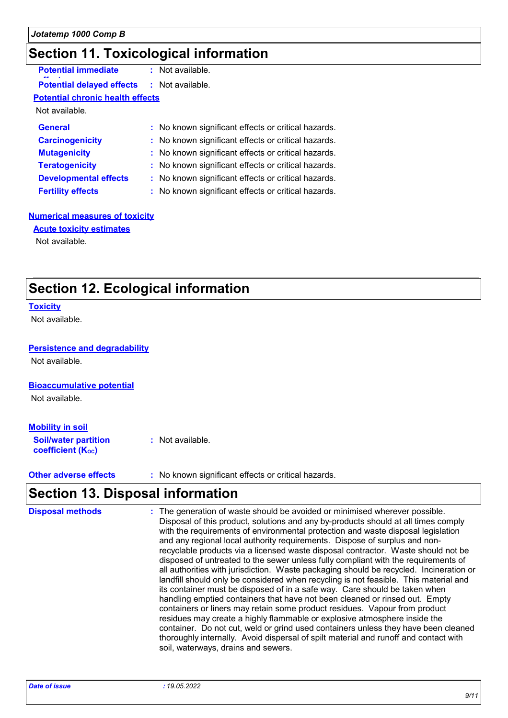# **Section 11. Toxicological information**

| <b>Potential immediate</b>              | : Not available.                                    |
|-----------------------------------------|-----------------------------------------------------|
| <b>Potential delayed effects</b>        | $:$ Not available.                                  |
| <b>Potential chronic health effects</b> |                                                     |
| Not available.                          |                                                     |
| <b>General</b>                          | : No known significant effects or critical hazards. |
| <b>Carcinogenicity</b>                  | : No known significant effects or critical hazards. |
| <b>Mutagenicity</b>                     | : No known significant effects or critical hazards. |
| <b>Teratogenicity</b>                   | : No known significant effects or critical hazards. |
| <b>Developmental effects</b>            | : No known significant effects or critical hazards. |
| <b>Fertility effects</b>                | : No known significant effects or critical hazards. |

#### **Numerical measures of toxicity**

**Acute toxicity estimates**

Not available.

# **Section 12. Ecological information**

#### **Toxicity**

Not available.

#### **Persistence and degradability**

Not available.

#### **Bioaccumulative potential**

Not available.

#### **Mobility in soil**

**Soil/water partition coefficient (KOC) :** Not available.

**Other adverse effects** : No known significant effects or critical hazards.

# **Section 13. Disposal information**

| <b>Disposal methods</b> | : The generation of waste should be avoided or minimised wherever possible.<br>Disposal of this product, solutions and any by-products should at all times comply<br>with the requirements of environmental protection and waste disposal legislation<br>and any regional local authority requirements. Dispose of surplus and non-<br>recyclable products via a licensed waste disposal contractor. Waste should not be<br>disposed of untreated to the sewer unless fully compliant with the requirements of<br>all authorities with jurisdiction. Waste packaging should be recycled. Incineration or<br>landfill should only be considered when recycling is not feasible. This material and<br>its container must be disposed of in a safe way. Care should be taken when<br>handling emptied containers that have not been cleaned or rinsed out. Empty<br>containers or liners may retain some product residues. Vapour from product<br>residues may create a highly flammable or explosive atmosphere inside the<br>container. Do not cut, weld or grind used containers unless they have been cleaned<br>thoroughly internally. Avoid dispersal of spilt material and runoff and contact with |
|-------------------------|--------------------------------------------------------------------------------------------------------------------------------------------------------------------------------------------------------------------------------------------------------------------------------------------------------------------------------------------------------------------------------------------------------------------------------------------------------------------------------------------------------------------------------------------------------------------------------------------------------------------------------------------------------------------------------------------------------------------------------------------------------------------------------------------------------------------------------------------------------------------------------------------------------------------------------------------------------------------------------------------------------------------------------------------------------------------------------------------------------------------------------------------------------------------------------------------------------|
|                         | soil, waterways, drains and sewers.                                                                                                                                                                                                                                                                                                                                                                                                                                                                                                                                                                                                                                                                                                                                                                                                                                                                                                                                                                                                                                                                                                                                                                    |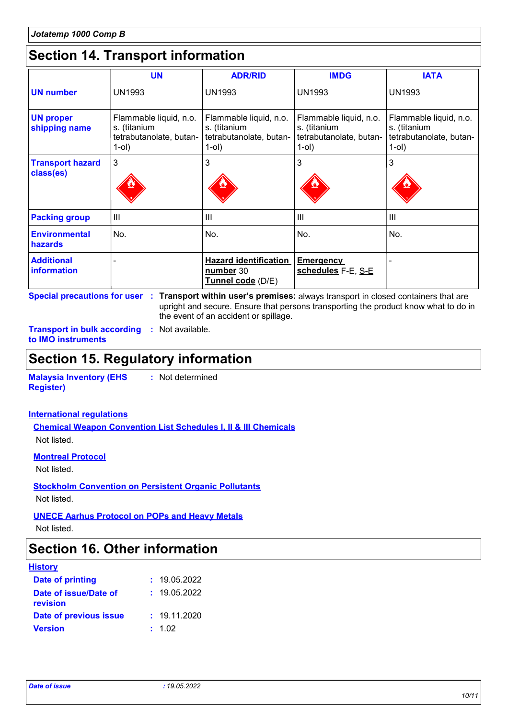# **Section 14. Transport information**

|                                      | <b>UN</b>                                                                     | <b>ADR/RID</b>                                                                | <b>IMDG</b>                                                                   | <b>IATA</b>                                                                   |
|--------------------------------------|-------------------------------------------------------------------------------|-------------------------------------------------------------------------------|-------------------------------------------------------------------------------|-------------------------------------------------------------------------------|
| <b>UN number</b>                     | <b>UN1993</b>                                                                 | UN1993                                                                        | <b>UN1993</b>                                                                 | <b>UN1993</b>                                                                 |
| <b>UN proper</b><br>shipping name    | Flammable liquid, n.o.<br>s. (titanium<br>tetrabutanolate, butan-<br>$1$ -ol) | Flammable liquid, n.o.<br>s. (titanium<br>tetrabutanolate, butan-<br>$1$ -ol) | Flammable liquid, n.o.<br>s. (titanium<br>tetrabutanolate, butan-<br>$1$ -ol) | Flammable liquid, n.o.<br>s. (titanium<br>tetrabutanolate, butan-<br>$1$ -ol) |
| <b>Transport hazard</b><br>class(es) | 3                                                                             | 3                                                                             | 3                                                                             | 3                                                                             |
| <b>Packing group</b>                 | $\mathbf{III}$                                                                | Ш                                                                             | $\mathbf{III}$                                                                | Ш                                                                             |
| <b>Environmental</b><br>hazards      | No.                                                                           | No.                                                                           | No.                                                                           | No.                                                                           |
| <b>Additional</b><br>information     |                                                                               | <b>Hazard identification</b><br>number 30<br>Tunnel code (D/E)                | <b>Emergency</b><br>schedules F-E, S-E                                        |                                                                               |

**Special precautions for user Transport within user's premises:** always transport in closed containers that are **:** upright and secure. Ensure that persons transporting the product know what to do in the event of an accident or spillage.

**Transport in bulk according :** Not available. **to IMO instruments**

### **Section 15. Regulatory information**

**Malaysia Inventory (EHS Register) :** Not determined

#### **International regulations**

**Chemical Weapon Convention List Schedules I, II & III Chemicals** Not listed.

**Montreal Protocol**

Not listed.

**Stockholm Convention on Persistent Organic Pollutants**

Not listed.

**UNECE Aarhus Protocol on POPs and Heavy Metals**

Not listed.

### **Section 16. Other information**

| <b>History</b>                    |              |
|-----------------------------------|--------------|
| <b>Date of printing</b>           | : 19.05.2022 |
| Date of issue/Date of<br>revision | : 19.05.2022 |
| Date of previous issue            | : 19.11.2020 |
| <b>Version</b>                    | : 1.02       |